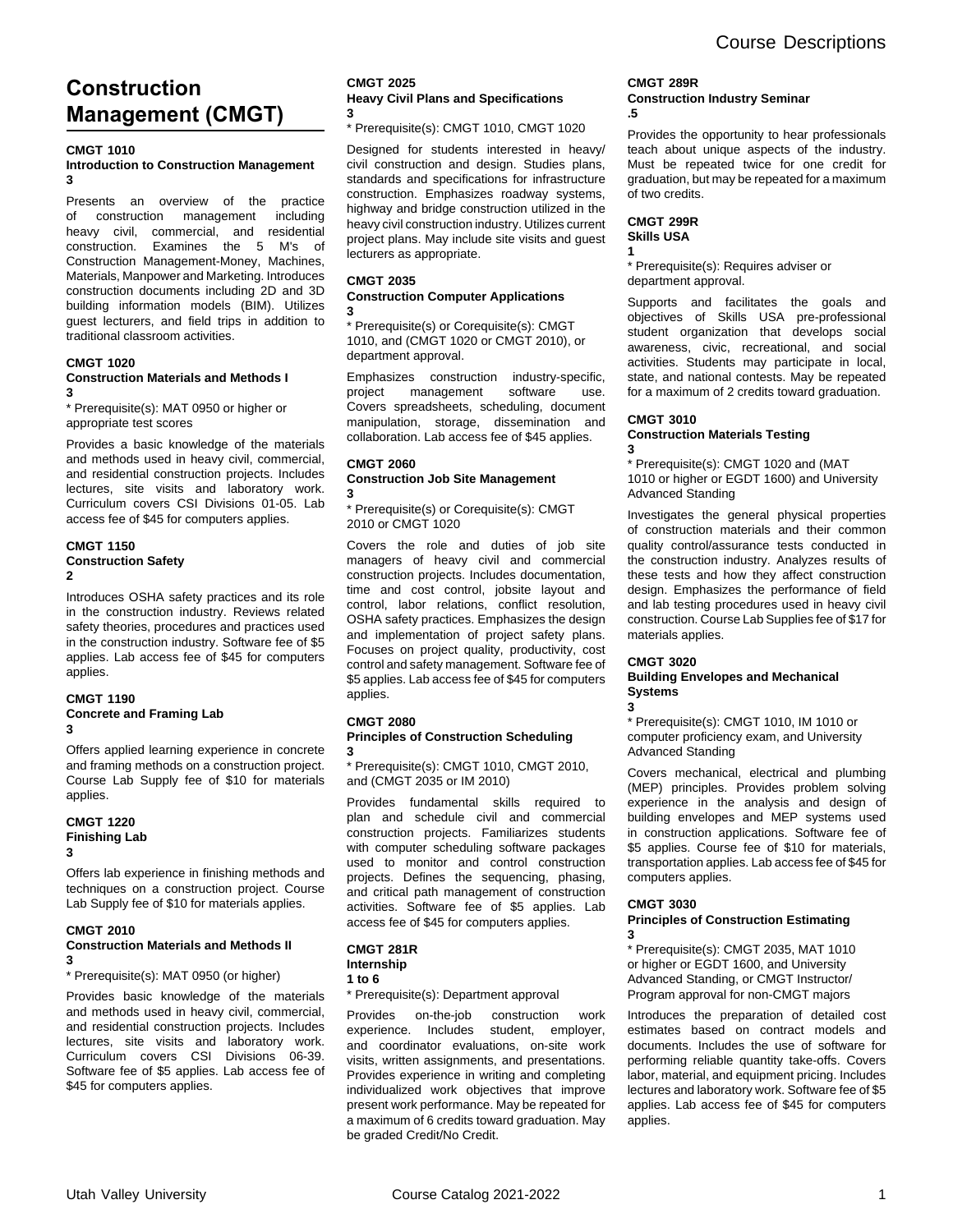# **Construction Management (CMGT)**

## **CMGT 1010**

### **Introduction to Construction Management 3**

Presents an overview of the practice of construction management including heavy civil, commercial, and residential construction. Examines the 5 M's of Construction Management-Money, Machines, Materials, Manpower and Marketing. Introduces construction documents including 2D and 3D building information models (BIM). Utilizes guest lecturers, and field trips in addition to traditional classroom activities.

# **CMGT 1020**

### **Construction Materials and Methods I 3**

\* Prerequisite(s): MAT 0950 or higher or appropriate test scores

Provides a basic knowledge of the materials and methods used in heavy civil, commercial, and residential construction projects. Includes lectures, site visits and laboratory work. Curriculum covers CSI Divisions 01-05. Lab access fee of \$45 for computers applies.

### **CMGT 1150 Construction Safety 2**

Introduces OSHA safety practices and its role in the construction industry. Reviews related safety theories, procedures and practices used in the construction industry. Software fee of \$5 applies. Lab access fee of \$45 for computers applies.

### **CMGT 1190 Concrete and Framing Lab 3**

Offers applied learning experience in concrete and framing methods on a construction project. Course Lab Supply fee of \$10 for materials applies.

### **CMGT 1220 Finishing Lab 3**

Offers lab experience in finishing methods and techniques on a construction project. Course Lab Supply fee of \$10 for materials applies.

#### **CMGT 2010 Construction Materials and Methods II 3**

\* Prerequisite(s): MAT 0950 (or higher)

Provides basic knowledge of the materials and methods used in heavy civil, commercial, and residential construction projects. Includes lectures, site visits and laboratory work. Curriculum covers CSI Divisions 06-39. Software fee of \$5 applies. Lab access fee of \$45 for computers applies.

#### **CMGT 2025 Heavy Civil Plans and Specifications 3**

\* Prerequisite(s): CMGT 1010, CMGT 1020

Designed for students interested in heavy/ civil construction and design. Studies plans, standards and specifications for infrastructure construction. Emphasizes roadway systems, highway and bridge construction utilized in the heavy civil construction industry. Utilizes current project plans. May include site visits and guest lecturers as appropriate.

## **CMGT 2035**

#### **Construction Computer Applications 3**

\* Prerequisite(s) or Corequisite(s): CMGT 1010, and (CMGT 1020 or CMGT 2010), or department approval.

Emphasizes construction industry-specific, project management software use. Covers spreadsheets, scheduling, document manipulation, storage, dissemination and collaboration. Lab access fee of \$45 applies.

#### **CMGT 2060 Construction Job Site Management 3**

\* Prerequisite(s) or Corequisite(s): CMGT 2010 or CMGT 1020

Covers the role and duties of job site managers of heavy civil and commercial construction projects. Includes documentation, time and cost control, jobsite layout and control, labor relations, conflict resolution, OSHA safety practices. Emphasizes the design and implementation of project safety plans. Focuses on project quality, productivity, cost control and safety management. Software fee of \$5 applies. Lab access fee of \$45 for computers applies.

### **CMGT 2080**

#### **Principles of Construction Scheduling 3**

\* Prerequisite(s): CMGT 1010, CMGT 2010, and (CMGT 2035 or IM 2010)

Provides fundamental skills required to plan and schedule civil and commercial construction projects. Familiarizes students with computer scheduling software packages used to monitor and control construction projects. Defines the sequencing, phasing, and critical path management of construction activities. Software fee of \$5 applies. Lab access fee of \$45 for computers applies.

## **CMGT 281R Internship**

**1 to 6**

## \* Prerequisite(s): Department approval

Provides on-the-job construction work experience. Includes student, employer, and coordinator evaluations, on-site work visits, written assignments, and presentations. Provides experience in writing and completing individualized work objectives that improve present work performance. May be repeated for a maximum of 6 credits toward graduation. May be graded Credit/No Credit.

### **CMGT 289R Construction Industry Seminar .5**

Provides the opportunity to hear professionals teach about unique aspects of the industry. Must be repeated twice for one credit for graduation, but may be repeated for a maximum of two credits.

# **CMGT 299R Skills USA**

**1** \* Prerequisite(s): Requires adviser or department approval.

Supports and facilitates the goals and objectives of Skills USA pre-professional student organization that develops social awareness, civic, recreational, and social activities. Students may participate in local, state, and national contests. May be repeated for a maximum of 2 credits toward graduation.

# **CMGT 3010**

### **Construction Materials Testing 3**

\* Prerequisite(s): CMGT 1020 and (MAT 1010 or higher or EGDT 1600) and University Advanced Standing

Investigates the general physical properties of construction materials and their common quality control/assurance tests conducted in the construction industry. Analyzes results of these tests and how they affect construction design. Emphasizes the performance of field and lab testing procedures used in heavy civil construction. Course Lab Supplies fee of \$17 for materials applies.

### **CMGT 3020 Building Envelopes and Mechanical Systems 3**

\* Prerequisite(s): CMGT 1010, IM 1010 or computer proficiency exam, and University Advanced Standing

Covers mechanical, electrical and plumbing (MEP) principles. Provides problem solving experience in the analysis and design of building envelopes and MEP systems used in construction applications. Software fee of \$5 applies. Course fee of \$10 for materials, transportation applies. Lab access fee of \$45 for computers applies.

## **CMGT 3030**

### **Principles of Construction Estimating 3**

\* Prerequisite(s): CMGT 2035, MAT 1010 or higher or EGDT 1600, and University Advanced Standing, or CMGT Instructor/ Program approval for non-CMGT majors

Introduces the preparation of detailed cost estimates based on contract models and documents. Includes the use of software for performing reliable quantity take-offs. Covers labor, material, and equipment pricing. Includes lectures and laboratory work. Software fee of \$5 applies. Lab access fee of \$45 for computers applies.